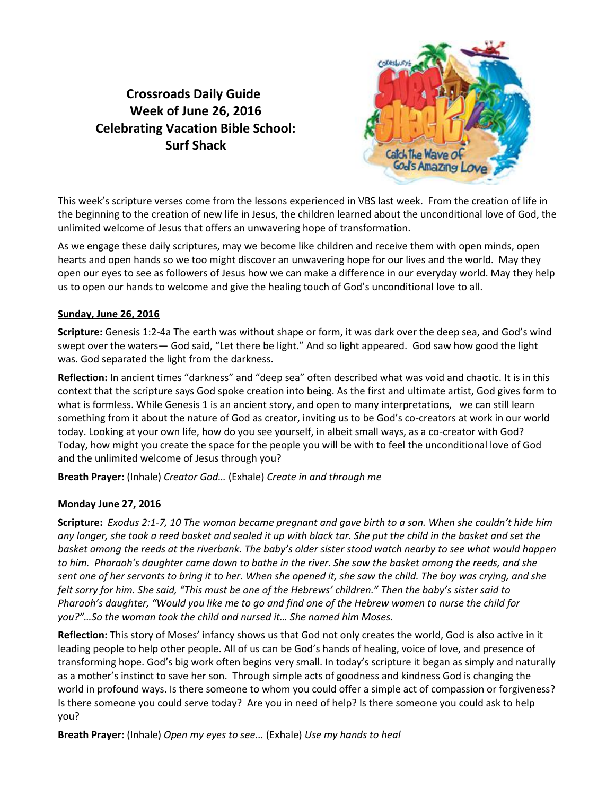# **Crossroads Daily Guide Week of June 26, 2016 Celebrating Vacation Bible School: Surf Shack**



This week's scripture verses come from the lessons experienced in VBS last week. From the creation of life in the beginning to the creation of new life in Jesus, the children learned about the unconditional love of God, the unlimited welcome of Jesus that offers an unwavering hope of transformation.

As we engage these daily scriptures, may we become like children and receive them with open minds, open hearts and open hands so we too might discover an unwavering hope for our lives and the world. May they open our eyes to see as followers of Jesus how we can make a difference in our everyday world. May they help us to open our hands to welcome and give the healing touch of God's unconditional love to all.

## **Sunday, June 26, 2016**

**Scripture:** Genesis 1:2-4a The earth was without shape or form, it was dark over the deep sea, and God's wind swept over the waters— God said, "Let there be light." And so light appeared. God saw how good the light was. God separated the light from the darkness.

**Reflection:** In ancient times "darkness" and "deep sea" often described what was void and chaotic. It is in this context that the scripture says God spoke creation into being. As the first and ultimate artist, God gives form to what is formless. While Genesis 1 is an ancient story, and open to many interpretations, we can still learn something from it about the nature of God as creator, inviting us to be God's co-creators at work in our world today. Looking at your own life, how do you see yourself, in albeit small ways, as a co-creator with God? Today, how might you create the space for the people you will be with to feel the unconditional love of God and the unlimited welcome of Jesus through you?

**Breath Prayer:** (Inhale) *Creator God…* (Exhale) *Create in and through me*

# **Monday June 27, 2016**

**Scripture:** *Exodus 2:1-7, 10 The woman became pregnant and gave birth to a son. When she couldn't hide him any longer, she took a reed basket and sealed it up with black tar. She put the child in the basket and set the basket among the reeds at the riverbank. The baby's older sister stood watch nearby to see what would happen to him. Pharaoh's daughter came down to bathe in the river. She saw the basket among the reeds, and she sent one of her servants to bring it to her. When she opened it, she saw the child. The boy was crying, and she felt sorry for him. She said, "This must be one of the Hebrews' children." Then the baby's sister said to Pharaoh's daughter, "Would you like me to go and find one of the Hebrew women to nurse the child for you?"…So the woman took the child and nursed it… She named him Moses.* 

**Reflection:** This story of Moses' infancy shows us that God not only creates the world, God is also active in it leading people to help other people. All of us can be God's hands of healing, voice of love, and presence of transforming hope. God's big work often begins very small. In today's scripture it began as simply and naturally as a mother's instinct to save her son. Through simple acts of goodness and kindness God is changing the world in profound ways. Is there someone to whom you could offer a simple act of compassion or forgiveness? Is there someone you could serve today? Are you in need of help? Is there someone you could ask to help you?

**Breath Prayer:** (Inhale) *Open my eyes to see...* (Exhale) *Use my hands to heal*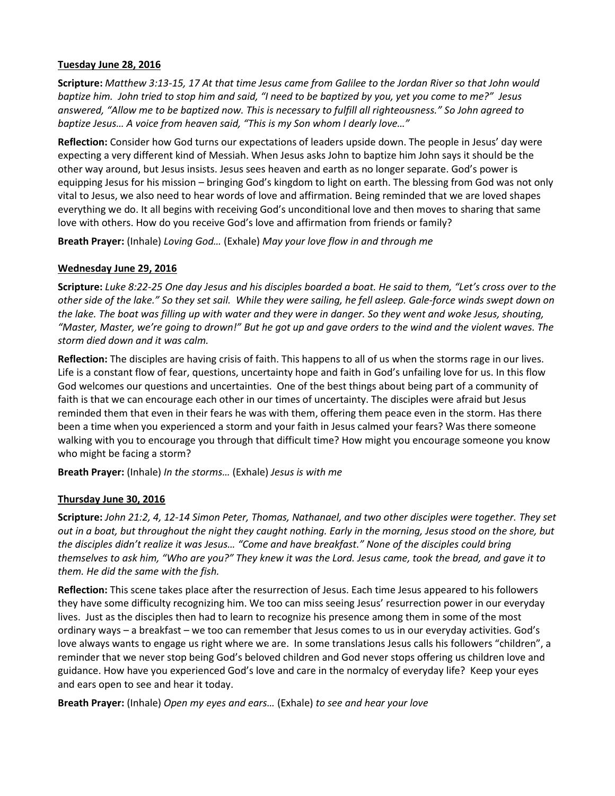#### **Tuesday June 28, 2016**

**Scripture:** *Matthew 3:13-15, 17 At that time Jesus came from Galilee to the Jordan River so that John would baptize him. John tried to stop him and said, "I need to be baptized by you, yet you come to me?" Jesus answered, "Allow me to be baptized now. This is necessary to fulfill all righteousness." So John agreed to baptize Jesus… A voice from heaven said, "This is my Son whom I dearly love…"*

**Reflection:** Consider how God turns our expectations of leaders upside down. The people in Jesus' day were expecting a very different kind of Messiah. When Jesus asks John to baptize him John says it should be the other way around, but Jesus insists. Jesus sees heaven and earth as no longer separate. God's power is equipping Jesus for his mission – bringing God's kingdom to light on earth. The blessing from God was not only vital to Jesus, we also need to hear words of love and affirmation. Being reminded that we are loved shapes everything we do. It all begins with receiving God's unconditional love and then moves to sharing that same love with others. How do you receive God's love and affirmation from friends or family?

**Breath Prayer:** (Inhale) *Loving God…* (Exhale) *May your love flow in and through me*

## **Wednesday June 29, 2016**

**Scripture:** *Luke 8:22-25 One day Jesus and his disciples boarded a boat. He said to them, "Let's cross over to the other side of the lake." So they set sail. While they were sailing, he fell asleep. Gale-force winds swept down on the lake. The boat was filling up with water and they were in danger. So they went and woke Jesus, shouting, "Master, Master, we're going to drown!" But he got up and gave orders to the wind and the violent waves. The storm died down and it was calm.*

**Reflection:** The disciples are having crisis of faith. This happens to all of us when the storms rage in our lives. Life is a constant flow of fear, questions, uncertainty hope and faith in God's unfailing love for us. In this flow God welcomes our questions and uncertainties. One of the best things about being part of a community of faith is that we can encourage each other in our times of uncertainty. The disciples were afraid but Jesus reminded them that even in their fears he was with them, offering them peace even in the storm. Has there been a time when you experienced a storm and your faith in Jesus calmed your fears? Was there someone walking with you to encourage you through that difficult time? How might you encourage someone you know who might be facing a storm?

**Breath Prayer:** (Inhale) *In the storms…* (Exhale) *Jesus is with me*

# **Thursday June 30, 2016**

**Scripture:** *John 21:2, 4, 12-14 Simon Peter, Thomas, Nathanael, and two other disciples were together. They set out in a boat, but throughout the night they caught nothing. Early in the morning, Jesus stood on the shore, but the disciples didn't realize it was Jesus… "Come and have breakfast." None of the disciples could bring themselves to ask him, "Who are you?" They knew it was the Lord. Jesus came, took the bread, and gave it to them. He did the same with the fish.* 

**Reflection:** This scene takes place after the resurrection of Jesus. Each time Jesus appeared to his followers they have some difficulty recognizing him. We too can miss seeing Jesus' resurrection power in our everyday lives. Just as the disciples then had to learn to recognize his presence among them in some of the most ordinary ways – a breakfast – we too can remember that Jesus comes to us in our everyday activities. God's love always wants to engage us right where we are. In some translations Jesus calls his followers "children", a reminder that we never stop being God's beloved children and God never stops offering us children love and guidance. How have you experienced God's love and care in the normalcy of everyday life? Keep your eyes and ears open to see and hear it today.

**Breath Prayer:** (Inhale) *Open my eyes and ears…* (Exhale) *to see and hear your love*